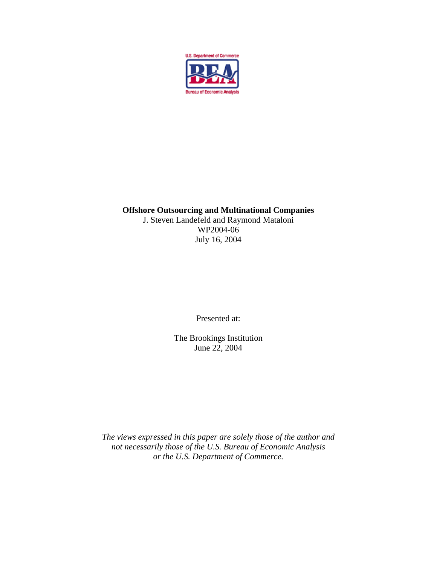

#### **Offshore Outsourcing and Multinational Companies**  J. Steven Landefeld and Raymond Mataloni WP2004-06 July 16, 2004

Presented at:

The Brookings Institution June 22, 2004

*The views expressed in this paper are solely those of the author and not necessarily those of the U.S. Bureau of Economic Analysis or the U.S. Department of Commerce.*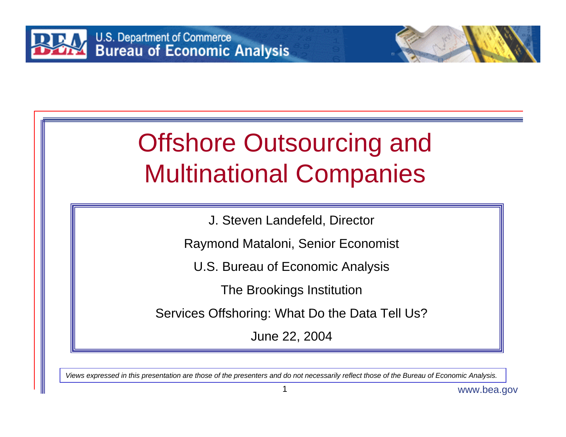

# Offshore Outsourcing and Multinational Companies

J. Steven Landefeld, Director

Raymond Mataloni, Senior Economist

U.S. Bureau of Economic Analysis

The Brookings Institution

Services Offshoring: What Do the Data Tell Us?

June 22, 2004

*Views expressed in this presentation are those of the presenters and do not necessarily reflect those of the Bureau of Economic Analysis.*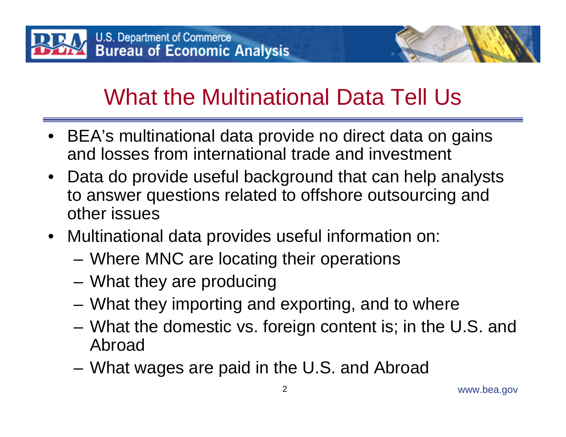

- BEA's multinational data provide no direct data on gains and losses from international trade and investment
- Data do provide useful background that can help analysts to answer questions related to offshore outsourcing and other issues
- Multinational data provides useful information on:
	- –Where MNC are locating their operations
	- **Links of the Common** What they are producing
	- and the state of the What they importing and exporting, and to where
	- – What the domestic vs. foreign content is; in the U.S. and Abroad
	- **Links of the Common** What wages are paid in the U.S. and Abroad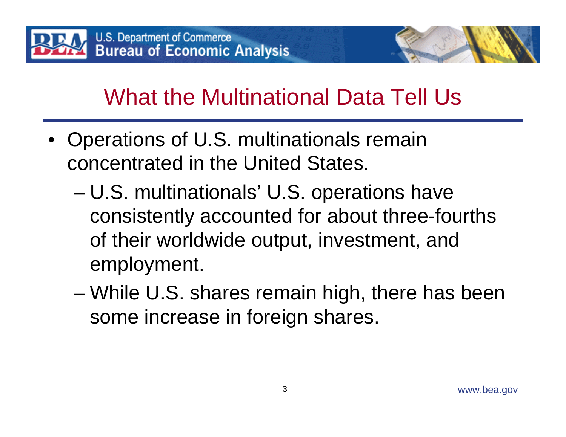

- • Operations of U.S. multinationals remain concentrated in the United States.
	- – U.S. multinationals' U.S. operations have consistently accounted for about three-fourths of their worldwide output, investment, and employment.
	- – While U.S. shares remain high, there has been some increase in foreign shares.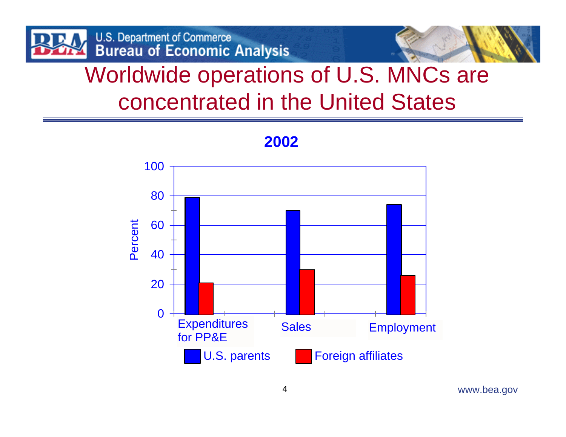



#### Worldwide operations of U.S. MNCs are concentrated in the United States



#### **2002**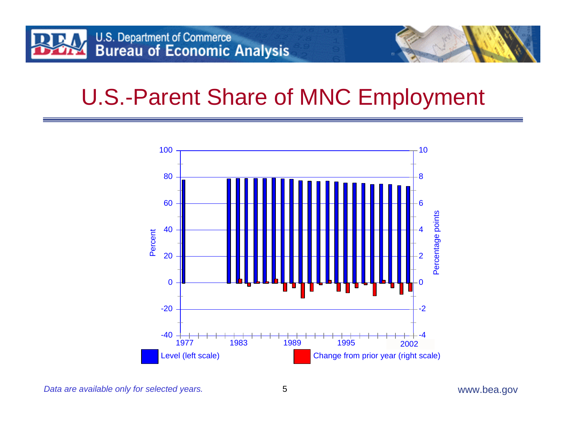

#### U.S.-Parent Share of MNC Employment



*Data are available only for selected years.*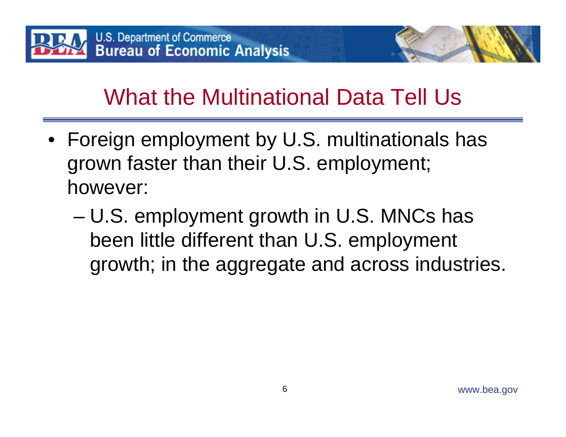

- Foreign employment by U.S. multinationals has grown faster than their U.S. employment; however:
	- – U.S. employment growth in U.S. MNCs has been little different than U.S. employment growth; in the aggregate and across industries.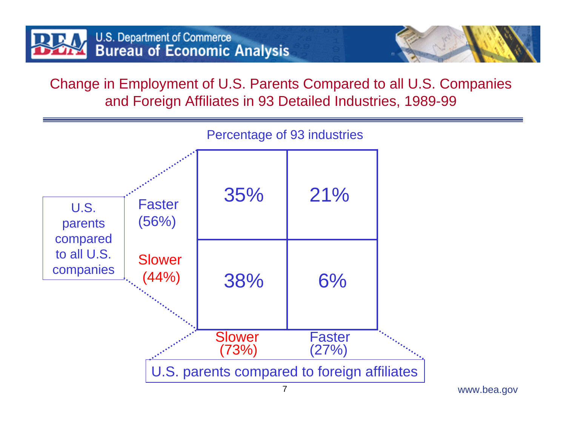

Change in Employment of U.S. Parents Compared to all U.S. Companies and Foreign Affiliates in 93 Detailed Industries, 1989-99

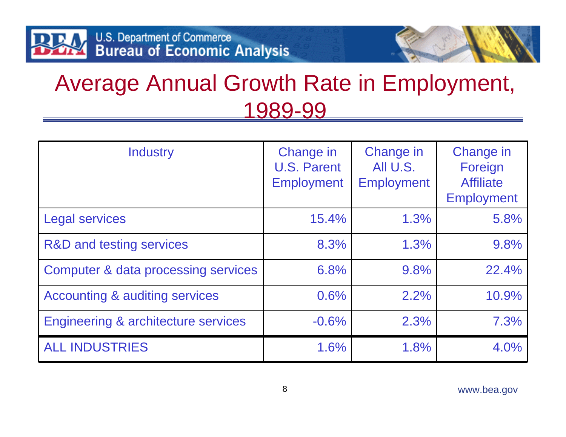#### Average Annual Growth Rate in Employment, 1989-99

| <b>Industry</b>                                | Change in<br><b>U.S. Parent</b><br><b>Employment</b> | Change in<br>All U.S.<br><b>Employment</b> | Change in<br>Foreign<br><b>Affiliate</b><br><b>Employment</b> |
|------------------------------------------------|------------------------------------------------------|--------------------------------------------|---------------------------------------------------------------|
| <b>Legal services</b>                          | 15.4%                                                | 1.3%                                       | 5.8%                                                          |
| R&D and testing services                       | 8.3%                                                 | 1.3%                                       | 9.8%                                                          |
| Computer & data processing services            | 6.8%                                                 | 9.8%                                       | 22.4%                                                         |
| <b>Accounting &amp; auditing services</b>      | 0.6%                                                 | 2.2%                                       | 10.9%                                                         |
| <b>Engineering &amp; architecture services</b> | $-0.6%$                                              | 2.3%                                       | 7.3%                                                          |
| <b>ALL INDUSTRIES</b>                          | 1.6%                                                 | 1.8%                                       | 4.0%                                                          |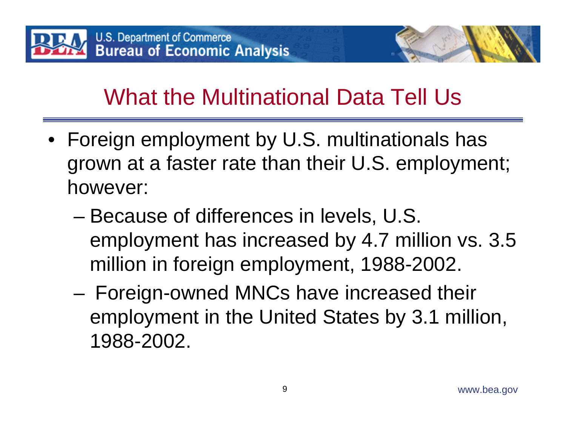

- Foreign employment by U.S. multinationals has grown at a faster rate than their U.S. employment; however:
	- – Because of differences in levels, U.S. employment has increased by 4.7 million vs. 3.5 million in foreign employment, 1988-2002.
	- – Foreign-owned MNCs have increased their employment in the United States by 3.1 million, 1988-2002.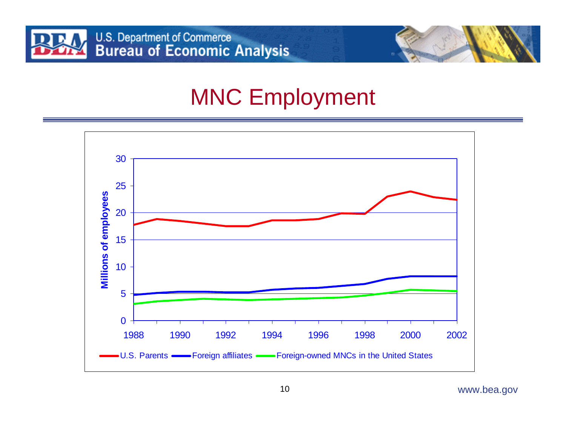

#### MNC Employment

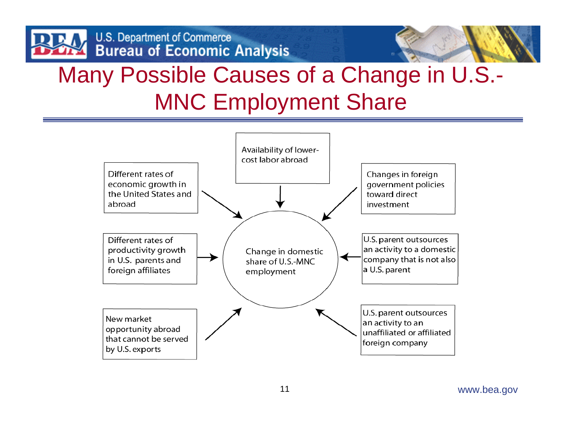

### Many Possible Causes of a Change in U.S.- MNC Employment Share

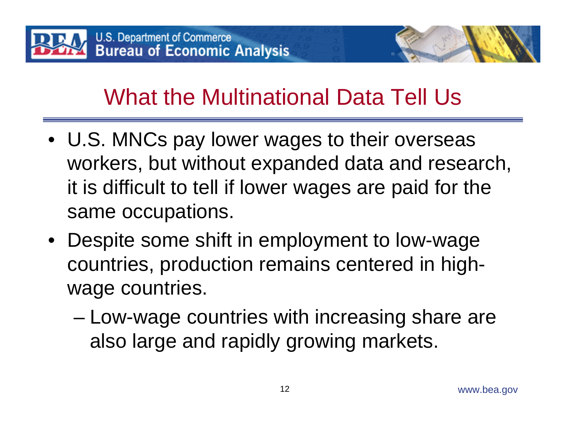

- U.S. MNCs pay lower wages to their overseas workers, but without expanded data and research, it is difficult to tell if lower wages are paid for the same occupations.
- Despite some shift in employment to low-wage countries, production remains centered in highwage countries.
	- – Low-wage countries with increasing share are also large and rapidly growing markets.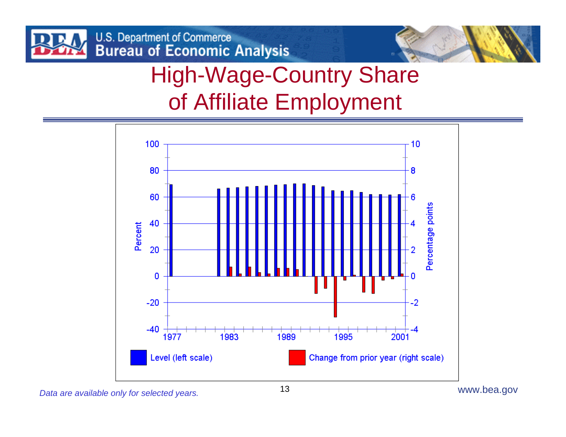

## High-Wage-Country Share of Affiliate Employment

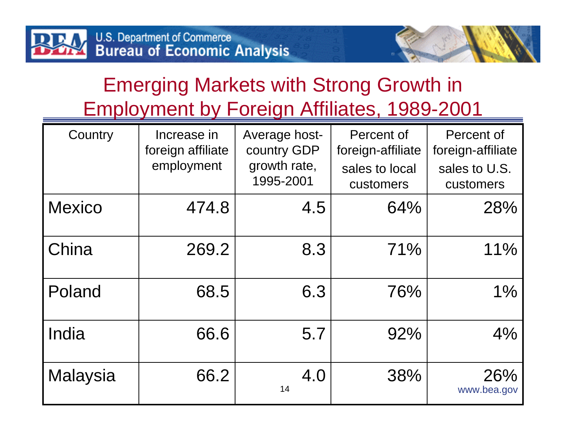#### Emerging Markets with Strong Growth in Employment by Foreign Affiliates, 1989-2001

| Country         | Increase in<br>foreign affiliate<br>employment | Average host-<br>country GDP<br>growth rate,<br>1995-2001 | Percent of<br>foreign-affiliate<br>sales to local<br>customers | Percent of<br>foreign-affiliate<br>sales to U.S.<br>customers |
|-----------------|------------------------------------------------|-----------------------------------------------------------|----------------------------------------------------------------|---------------------------------------------------------------|
| <b>Mexico</b>   | 474.8                                          | 4.5                                                       | 64%                                                            | 28%                                                           |
| China           | 269.2                                          | 8.3                                                       | 71%                                                            | 11%                                                           |
| Poland          | 68.5                                           | 6.3                                                       | 76%                                                            | 1%                                                            |
| India           | 66.6                                           | 5.7                                                       | 92%                                                            | 4%                                                            |
| <b>Malaysia</b> | 66.2                                           | 4.0<br>14                                                 | 38%                                                            | 26%<br>www.bea.gov                                            |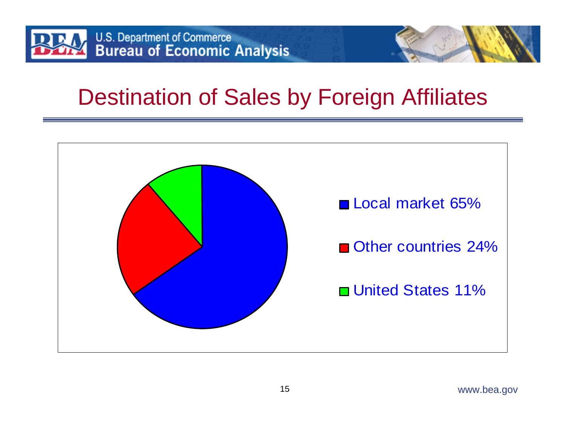

#### Destination of Sales by Foreign Affiliates

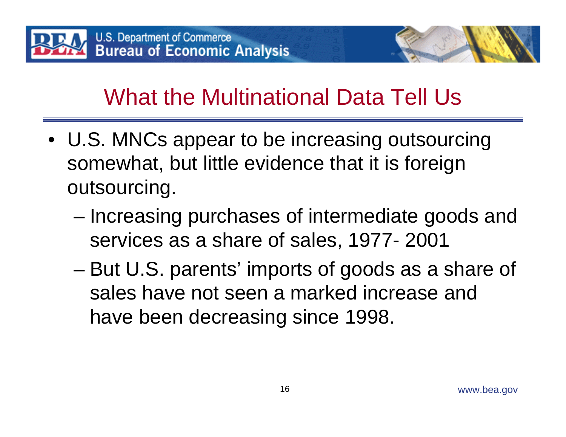![](_page_16_Picture_0.jpeg)

- U.S. MNCs appear to be increasing outsourcing somewhat, but little evidence that it is foreign outsourcing.
	- –– Increasing purchases of intermediate goods and services as a share of sales, 1977- 2001
	- – But U.S. parents' imports of goods as a share of sales have not seen a marked increase and have been decreasing since 1998.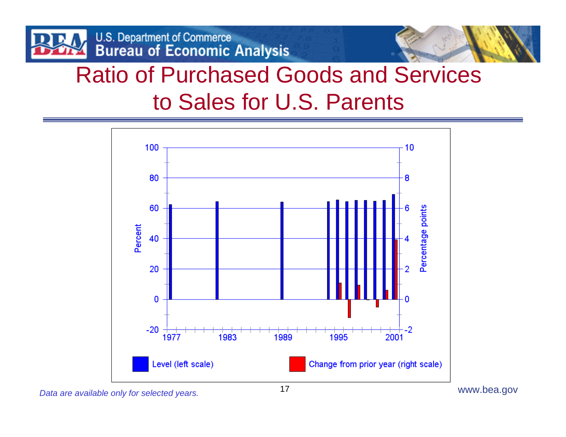![](_page_17_Picture_0.jpeg)

![](_page_17_Picture_1.jpeg)

#### Ratio of Purchased Goods and Services to Sales for U.S. Parents

![](_page_17_Figure_3.jpeg)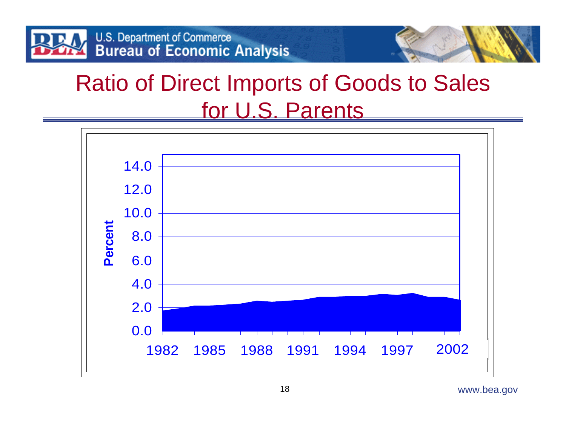![](_page_18_Picture_0.jpeg)

#### Ratio of Direct Imports of Goods to Sales for U.S. Parents

![](_page_18_Figure_2.jpeg)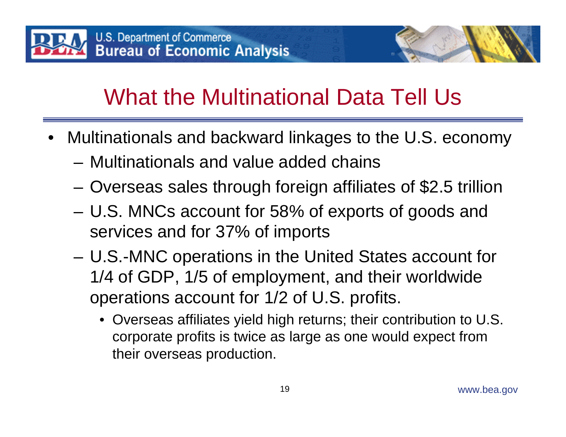![](_page_19_Picture_0.jpeg)

- Multinationals and backward linkages to the U.S. economy
	- Multinationals and value added chains
	- **Links of the Common** Overseas sales through foreign affiliates of \$2.5 trillion
	- **Links of the Common**  U.S. MNCs account for 58% of exports of goods and services and for 37% of imports
	- – U.S.-MNC operations in the United States account for 1/4 of GDP, 1/5 of employment, and their worldwide operations account for 1/2 of U.S. profits.
		- Overseas affiliates yield high returns; their contribution to U.S. corporate profits is twice as large as one would expect from their overseas production.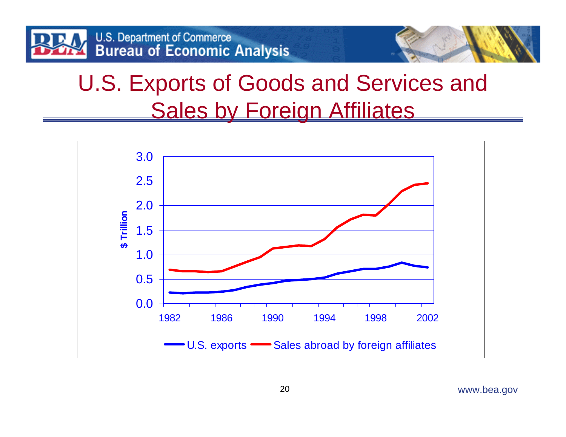![](_page_20_Picture_0.jpeg)

#### U.S. Exports of Goods and Services and Sales by Foreign Affiliates

![](_page_20_Figure_2.jpeg)